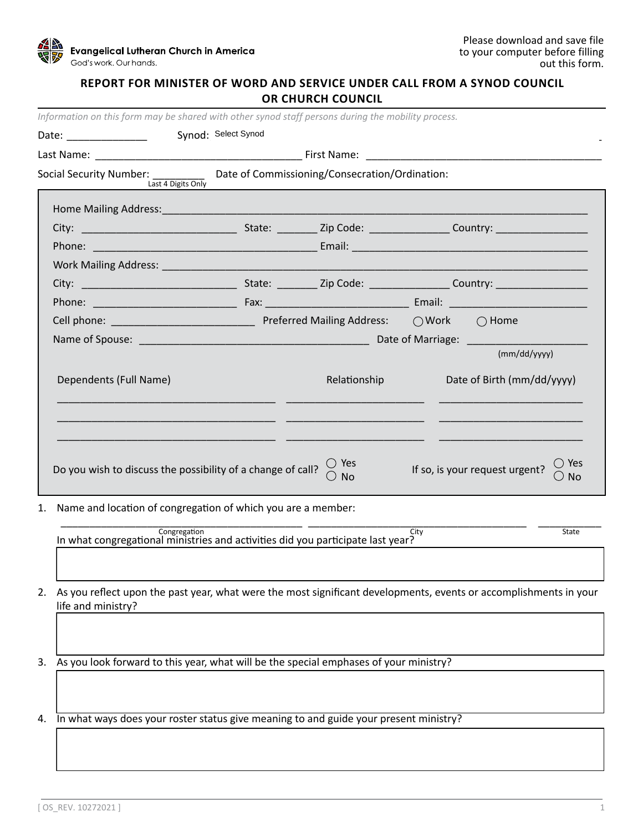

## **REPORT FOR MINISTER OF WORD AND SERVICE UNDER CALL FROM A SYNOD COUNCIL OR CHURCH COUNCIL**

| Information on this form may be shared with other synod staff persons during the mobility process. |                     |  |                                                                                                                |                            |                                                                                                                      |  |  |
|----------------------------------------------------------------------------------------------------|---------------------|--|----------------------------------------------------------------------------------------------------------------|----------------------------|----------------------------------------------------------------------------------------------------------------------|--|--|
| Date: _______________                                                                              | Synod: Select Synod |  |                                                                                                                |                            |                                                                                                                      |  |  |
|                                                                                                    |                     |  |                                                                                                                |                            |                                                                                                                      |  |  |
| Social Security Number: __________ Date of Commissioning/Consecration/Ordination:                  | Last 4 Digits Only  |  |                                                                                                                |                            |                                                                                                                      |  |  |
|                                                                                                    |                     |  |                                                                                                                |                            |                                                                                                                      |  |  |
|                                                                                                    |                     |  |                                                                                                                |                            |                                                                                                                      |  |  |
|                                                                                                    |                     |  |                                                                                                                |                            |                                                                                                                      |  |  |
|                                                                                                    |                     |  |                                                                                                                |                            |                                                                                                                      |  |  |
|                                                                                                    |                     |  |                                                                                                                |                            |                                                                                                                      |  |  |
|                                                                                                    |                     |  |                                                                                                                |                            |                                                                                                                      |  |  |
|                                                                                                    |                     |  |                                                                                                                |                            |                                                                                                                      |  |  |
|                                                                                                    |                     |  |                                                                                                                |                            |                                                                                                                      |  |  |
|                                                                                                    |                     |  |                                                                                                                |                            | (mm/dd/yyyy)                                                                                                         |  |  |
| Dependents (Full Name)                                                                             |                     |  | Relationship                                                                                                   | Date of Birth (mm/dd/yyyy) |                                                                                                                      |  |  |
|                                                                                                    |                     |  |                                                                                                                |                            |                                                                                                                      |  |  |
| Do you wish to discuss the possibility of a change of call?                                        |                     |  | $\bigcirc$ Yes<br>$\bigcirc$ No                                                                                |                            | $\bigcirc$ Yes<br>If so, is your request urgent?<br>$\bigcirc$ No                                                    |  |  |
| Name and location of congregation of which you are a member:<br>1.                                 |                     |  |                                                                                                                |                            |                                                                                                                      |  |  |
|                                                                                                    |                     |  | The University Congregation<br>In what congregational ministries and activities did you participate last year? | City                       | State                                                                                                                |  |  |
|                                                                                                    |                     |  |                                                                                                                |                            |                                                                                                                      |  |  |
|                                                                                                    |                     |  |                                                                                                                |                            |                                                                                                                      |  |  |
|                                                                                                    |                     |  |                                                                                                                |                            | 2. As you reflect upon the past year, what were the most significant developments, events or accomplishments in your |  |  |

life and ministry?

3. As you look forward to this year, what will be the special emphases of your ministry?

4. In what ways does your roster status give meaning to and guide your present ministry?